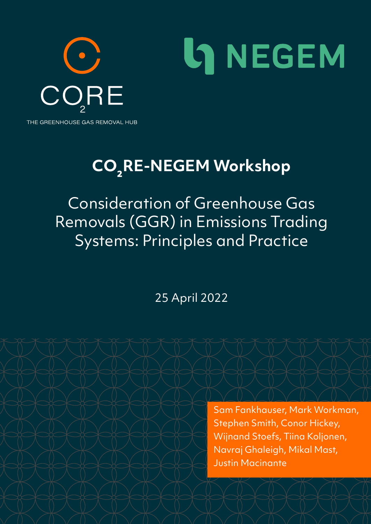

# **CO₂RE-NEGEM Workshop**

Consideration of Greenhouse Gas Removals (GGR) in Emissions Trading Systems: Principles and Practice

25 April 2022

Sam Fankhauser, Mark Workman, Stephen Smith, Conor Hickey, Wijnand Stoefs, Tiina Koljonen, Navraj Ghaleigh, Mikal Mast, Justin Macinante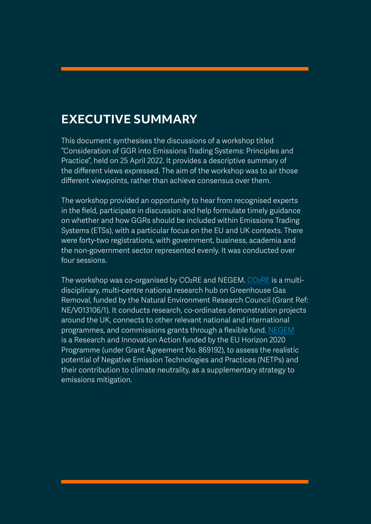## **EXECUTIVE SUMMARY**

This document synthesises the discussions of a workshop titled "Consideration of GGR into Emissions Trading Systems: Principles and Practice", held on 25 April 2022. It provides a descriptive summary of the different views expressed. The aim of the workshop was to air those different viewpoints, rather than achieve consensus over them.

The workshop provided an opportunity to hear from recognised experts in the field, participate in discussion and help formulate timely guidance on whether and how GGRs should be included within Emissions Trading Systems (ETSs), with a particular focus on the EU and UK contexts. There were forty-two registrations, with government, business, academia and the non-government sector represented evenly. It was conducted over four sessions.

The workshop was co-organised by CO<sub>2</sub>RE and NEGEM. CO<sub>2</sub>RE is a multidisciplinary, multi-centre national research hub on Greenhouse Gas Removal, funded by the Natural Environment Research Council (Grant Ref: NE/V013106/1). It conducts research, co-ordinates demonstration projects around the UK, connects to other relevant national and international programmes, and commissions grants through a flexible fund. [NEGEM](https://www.negemproject.eu/) is a Research and Innovation Action funded by the EU Horizon 2020 Programme (under Grant Agreement No. 869192), to assess the realistic potential of Negative Emission Technologies and Practices (NETPs) and their contribution to climate neutrality, as a supplementary strategy to emissions mitigation.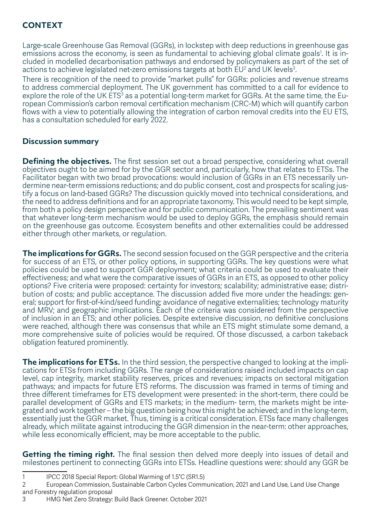#### **CONTEXT**

Large-scale Greenhouse Gas Removal (GGRs), in lockstep with deep reductions in greenhouse gas emissions across the economy, is seen as fundamental to achieving global climate goals<sup>1</sup>. It is included in modelled decarbonisation pathways and endorsed by policymakers as part of the set of actions to achieve legislated net-zero emissions targets at both  $EU^2$  and UK levels<sup>3</sup>.

There is recognition of the need to provide "market pulls" for GGRs: policies and revenue streams to address commercial deployment. The UK government has committed to a call for evidence to explore the role of the UK ETS $^3$  as a potential long-term market for GGRs. At the same time, the European Commission's carbon removal certification mechanism (CRC-M) which will quantify carbon flows with a view to potentially allowing the integration of carbon removal credits into the EU ETS, has a consultation scheduled for early 2022.

#### **Discussion summary**

**Defining the objectives.** The first session set out a broad perspective, considering what overall objectives ought to be aimed for by the GGR sector and, particularly, how that relates to ETSs. The Facilitator began with two broad provocations: would inclusion of GGRs in an ETS necessarily undermine near-term emissions reductions; and do public consent, cost and prospects for scaling justify a focus on land-based GGRs? The discussion quickly moved into technical considerations, and the need to address definitions and for an appropriate taxonomy. This would need to be kept simple, from both a policy design perspective and for public communication. The prevailing sentiment was that whatever long-term mechanism would be used to deploy GGRs, the emphasis should remain on the greenhouse gas outcome. Ecosystem benefits and other externalities could be addressed either through other markets, or regulation.

**The implications for GGRs.** The second session focused on the GGR perspective and the criteria for success of an ETS, or other policy options, in supporting GGRs. The key questions were what policies could be used to support GGR deployment; what criteria could be used to evaluate their effectiveness; and what were the comparative issues of GGRs in an ETS, as opposed to other policy options? Five criteria were proposed: certainty for investors; scalability; administrative ease; distribution of costs; and public acceptance. The discussion added five more under the headings: general; support for first-of-kind/seed funding; avoidance of negative externalities; technology maturity and MRV; and geographic implications. Each of the criteria was considered from the perspective of inclusion in an ETS; and other policies. Despite extensive discussion, no definitive conclusions were reached, although there was consensus that while an ETS might stimulate some demand, a more comprehensive suite of policies would be required. Of those discussed, a carbon takeback obligation featured prominently.

**The implications for ETSs.** In the third session, the perspective changed to looking at the implications for ETSs from including GGRs. The range of considerations raised included impacts on cap level, cap integrity, market stability reserves, prices and revenues; impacts on sectoral mitigation pathways; and impacts for future ETS reforms. The discussion was framed in terms of timing and three different timeframes for ETS development were presented: in the short-term, there could be parallel development of GGRs and ETS markets; in the medium- term, the markets might be integrated and work together – the big question being how this might be achieved; and in the long-term, essentially just the GGR market. Thus, timing is a critical consideration. ETSs face many challenges already, which militate against introducing the GGR dimension in the near-term: other approaches, while less economically efficient, may be more acceptable to the public.

**Getting the timing right.** The final session then delved more deeply into issues of detail and milestones pertinent to connecting GGRs into ETSs. Headline questions were: should any GGR be

1 IPCC 2018 Special Report: Global Warming of 1.5°C (SR1.5)

<sup>2</sup> European Commission, Sustainable Carbon Cycles Communication, 2021 and Land Use, Land Use Change and Forestry regulation proposal

<sup>3</sup> HMG Net Zero Strategy: Build Back Greener. October 2021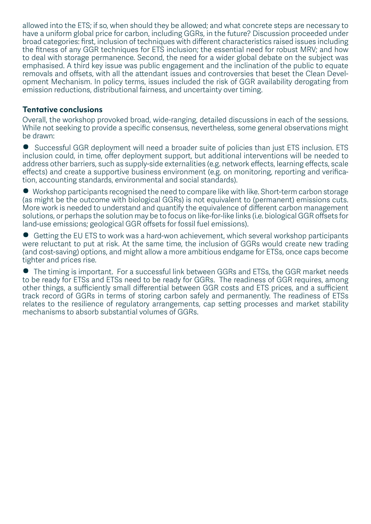allowed into the ETS; if so, when should they be allowed; and what concrete steps are necessary to have a uniform global price for carbon, including GGRs, in the future? Discussion proceeded under broad categories: first, inclusion of techniques with different characteristics raised issues including the fitness of any GGR techniques for ETS inclusion; the essential need for robust MRV; and how to deal with storage permanence. Second, the need for a wider global debate on the subject was emphasised. A third key issue was public engagement and the inclination of the public to equate removals and offsets, with all the attendant issues and controversies that beset the Clean Development Mechanism. In policy terms, issues included the risk of GGR availability derogating from emission reductions, distributional fairness, and uncertainty over timing.

#### **Tentative conclusions**

Overall, the workshop provoked broad, wide-ranging, detailed discussions in each of the sessions. While not seeking to provide a specific consensus, nevertheless, some general observations might be drawn:

• Successful GGR deployment will need a broader suite of policies than just ETS inclusion. ETS inclusion could, in time, offer deployment support, but additional interventions will be needed to address other barriers, such as supply-side externalities (e.g. network effects, learning effects, scale effects) and create a supportive business environment (e.g. on monitoring, reporting and verification, accounting standards, environmental and social standards).

• Workshop participants recognised the need to compare like with like. Short-term carbon storage (as might be the outcome with biological GGRs) is not equivalent to (permanent) emissions cuts. More work is needed to understand and quantify the equivalence of different carbon management solutions, or perhaps the solution may be to focus on like-for-like links (i.e. biological GGR offsets for land-use emissions; geological GGR offsets for fossil fuel emissions).

• Getting the EU ETS to work was a hard-won achievement, which several workshop participants were reluctant to put at risk. At the same time, the inclusion of GGRs would create new trading (and cost-saving) options, and might allow a more ambitious endgame for ETSs, once caps become tighter and prices rise.

• The timing is important. For a successful link between GGRs and ETSs, the GGR market needs to be ready for ETSs and ETSs need to be ready for GGRs. The readiness of GGR requires, among other things, a sufficiently small differential between GGR costs and ETS prices, and a sufficient track record of GGRs in terms of storing carbon safely and permanently. The readiness of ETSs relates to the resilience of regulatory arrangements, cap setting processes and market stability mechanisms to absorb substantial volumes of GGRs.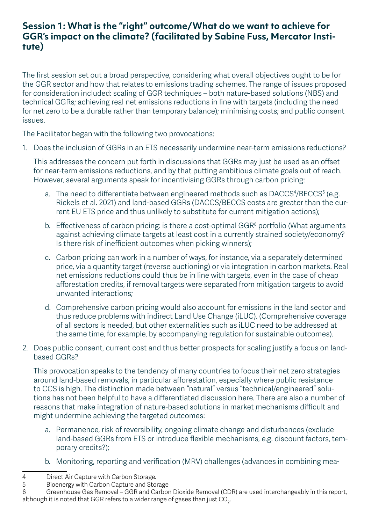#### **Session 1: What is the "right" outcome/What do we want to achieve for GGR's impact on the climate? (facilitated by Sabine Fuss, Mercator Institute)**

The first session set out a broad perspective, considering what overall objectives ought to be for the GGR sector and how that relates to emissions trading schemes. The range of issues proposed for consideration included: scaling of GGR techniques – both nature-based solutions (NBS) and technical GGRs; achieving real net emissions reductions in line with targets (including the need for net zero to be a durable rather than temporary balance); minimising costs; and public consent issues.

The Facilitator began with the following two provocations:

1. Does the inclusion of GGRs in an ETS necessarily undermine near-term emissions reductions?

This addresses the concern put forth in discussions that GGRs may just be used as an offset for near-term emissions reductions, and by that putting ambitious climate goals out of reach. However, several arguments speak for incentivising GGRs through carbon pricing:

- a. The need to differentiate between engineered methods such as DACCS<sup>4</sup>/BECCS<sup>5</sup> (e.g. Rickels et al. 2021) and land-based GGRs (DACCS/BECCS costs are greater than the current EU ETS price and thus unlikely to substitute for current mitigation actions);
- b. Effectiveness of carbon pricing: is there a cost-optimal GGR $<sup>6</sup>$  portfolio (What arguments</sup> against achieving climate targets at least cost in a currently strained society/economy? Is there risk of inefficient outcomes when picking winners);
- c. Carbon pricing can work in a number of ways, for instance, via a separately determined price, via a quantity target (reverse auctioning) or via integration in carbon markets. Real net emissions reductions could thus be in line with targets, even in the case of cheap afforestation credits, if removal targets were separated from mitigation targets to avoid unwanted interactions;
- d. Comprehensive carbon pricing would also account for emissions in the land sector and thus reduce problems with indirect Land Use Change (iLUC). (Comprehensive coverage of all sectors is needed, but other externalities such as iLUC need to be addressed at the same time, for example, by accompanying regulation for sustainable outcomes).
- 2. Does public consent, current cost and thus better prospects for scaling justify a focus on landbased GGRs?

This provocation speaks to the tendency of many countries to focus their net zero strategies around land-based removals, in particular afforestation, especially where public resistance to CCS is high. The distinction made between "natural" versus "technical/engineered" solutions has not been helpful to have a differentiated discussion here. There are also a number of reasons that make integration of nature-based solutions in market mechanisms difficult and might undermine achieving the targeted outcomes:

- a. Permanence, risk of reversibility, ongoing climate change and disturbances (exclude land-based GGRs from ETS or introduce flexible mechanisms, e.g. discount factors, temporary credits?);
- b. Monitoring, reporting and verification (MRV) challenges (advances in combining mea-

<sup>4</sup> Direct Air Capture with Carbon Storage.<br>5 Bioenergy with Carbon Capture and Sto

<sup>5</sup> Bioenergy with Carbon Capture and Storage

<sup>6</sup> Greenhouse Gas Removal – GGR and Carbon Dioxide Removal (CDR) are used interchangeably in this report, although it is noted that GGR refers to a wider range of gases than just CO $_{\textrm{\tiny{2}}}$ .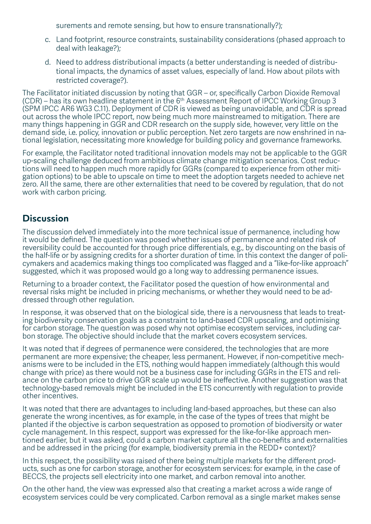surements and remote sensing, but how to ensure transnationally?);

- c. Land footprint, resource constraints, sustainability considerations (phased approach to deal with leakage?);
- d. Need to address distributional impacts (a better understanding is needed of distributional impacts, the dynamics of asset values, especially of land. How about pilots with restricted coverage?).

The Facilitator initiated discussion by noting that GGR – or, specifically Carbon Dioxide Removal (CDR) – has its own headline statement in the 6th Assessment Report of IPCC Working Group 3 (SPM IPCC AR6 WG3 C.11). Deployment of CDR is viewed as being unavoidable, and CDR is spread out across the whole IPCC report, now being much more mainstreamed to mitigation. There are many things happening in GGR and CDR research on the supply side, however, very little on the demand side, i.e. policy, innovation or public perception. Net zero targets are now enshrined in national legislation, necessitating more knowledge for building policy and governance frameworks.

For example, the Facilitator noted traditional innovation models may not be applicable to the GGR up-scaling challenge deduced from ambitious climate change mitigation scenarios. Cost reductions will need to happen much more rapidly for GGRs (compared to experience from other mitigation options) to be able to upscale on time to meet the adoption targets needed to achieve net zero. All the same, there are other externalities that need to be covered by regulation, that do not work with carbon pricing.

#### **Discussion**

The discussion delved immediately into the more technical issue of permanence, including how it would be defined. The question was posed whether issues of permanence and related risk of reversibility could be accounted for through price differentials, e.g., by discounting on the basis of the half-life or by assigning credits for a shorter duration of time. In this context the danger of policymakers and academics making things too complicated was flagged and a "like-for-like approach" suggested, which it was proposed would go a long way to addressing permanence issues.

Returning to a broader context, the Facilitator posed the question of how environmental and reversal risks might be included in pricing mechanisms, or whether they would need to be addressed through other regulation.

In response, it was observed that on the biological side, there is a nervousness that leads to treating biodiversity conservation goals as a constraint to land-based CDR upscaling, and optimising for carbon storage. The question was posed why not optimise ecosystem services, including carbon storage. The objective should include that the market covers ecosystem services.

It was noted that if degrees of permanence were considered, the technologies that are more permanent are more expensive; the cheaper, less permanent. However, if non-competitive mechanisms were to be included in the ETS, nothing would happen immediately (although this would change with price) as there would not be a business case for including GGRs in the ETS and reliance on the carbon price to drive GGR scale up would be ineffective. Another suggestion was that technology-based removals might be included in the ETS concurrently with regulation to provide other incentives.

It was noted that there are advantages to including land-based approaches, but these can also generate the wrong incentives, as for example, in the case of the types of trees that might be planted if the objective is carbon sequestration as opposed to promotion of biodiversity or water cycle management. In this respect, support was expressed for the like-for-like approach mentioned earlier, but it was asked, could a carbon market capture all the co-benefits and externalities and be addressed in the pricing (for example, biodiversity premia in the REDD+ context)?

In this respect, the possibility was raised of there being multiple markets for the different products, such as one for carbon storage, another for ecosystem services: for example, in the case of BECCS, the projects sell electricity into one market, and carbon removal into another.

On the other hand, the view was expressed also that creating a market across a wide range of ecosystem services could be very complicated. Carbon removal as a single market makes sense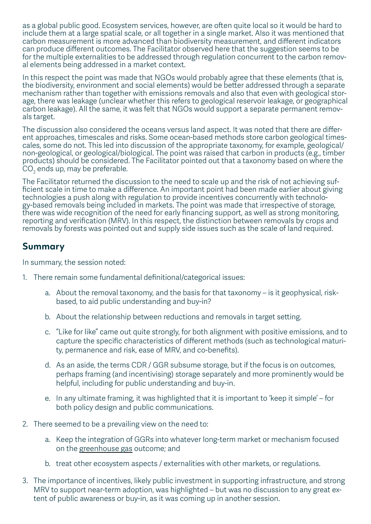as a global public good. Ecosystem services, however, are often quite local so it would be hard to include them at a large spatial scale, or all together in a single market. Also it was mentioned that carbon measurement is more advanced than biodiversity measurement, and different indicators can produce different outcomes. The Facilitator observed here that the suggestion seems to be for the multiple externalities to be addressed through regulation concurrent to the carbon removal elements being addressed in a market context.

In this respect the point was made that NGOs would probably agree that these elements (that is, the biodiversity, environment and social elements) would be better addressed through a separate mechanism rather than together with emissions removals and also that even with geological storage, there was leakage (unclear whether this refers to geological reservoir leakage, or geographical carbon leakage). All the same, it was felt that NGOs would support a separate permanent removals target.

The discussion also considered the oceans versus land aspect. It was noted that there are different approaches, timescales and risks. Some ocean-based methods store carbon geological timescales, some do not. This led into discussion of the appropriate taxonomy, for example, geological/ non-geological, or geological/biological. The point was raised that carbon in products (e.g., timber products) should be considered. The Facilitator pointed out that a taxonomy based on where the  $\mathrm{CO}_2$  ends up, may be preferable.

The Facilitator returned the discussion to the need to scale up and the risk of not achieving sufficient scale in time to make a difference. An important point had been made earlier about giving technologies a push along with regulation to provide incentives concurrently with technology-based removals being included in markets. The point was made that irrespective of storage, there was wide recognition of the need for early financing support, as well as strong monitoring, reporting and verification (MRV). In this respect, the distinction between removals by crops and removals by forests was pointed out and supply side issues such as the scale of land required.

#### **Summary**

In summary, the session noted:

- 1. There remain some fundamental definitional/categorical issues:
	- a. About the removal taxonomy, and the basis for that taxonomy is it geophysical, riskbased, to aid public understanding and buy-in?
	- b. About the relationship between reductions and removals in target setting.
	- c. "Like for like" came out quite strongly, for both alignment with positive emissions, and to capture the specific characteristics of different methods (such as technological maturity, permanence and risk, ease of MRV, and co-benefits).
	- d. As an aside, the terms CDR / GGR subsume storage, but if the focus is on outcomes, perhaps framing (and incentivising) storage separately and more prominently would be helpful, including for public understanding and buy-in.
	- e. In any ultimate framing, it was highlighted that it is important to 'keep it simple' for both policy design and public communications.
- 2. There seemed to be a prevailing view on the need to:
	- a. Keep the integration of GGRs into whatever long-term market or mechanism focused on the greenhouse gas outcome; and
	- b. treat other ecosystem aspects / externalities with other markets, or regulations.
- 3. The importance of incentives, likely public investment in supporting infrastructure, and strong MRV to support near-term adoption, was highlighted – but was no discussion to any great extent of public awareness or buy-in, as it was coming up in another session.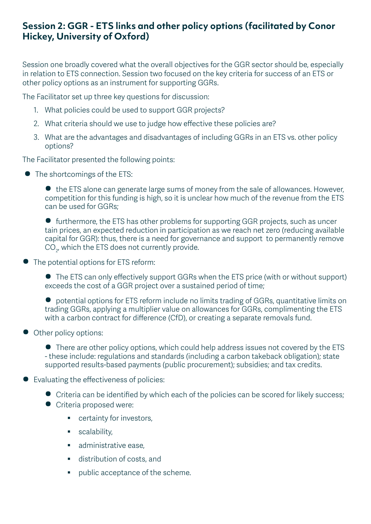#### **Session 2: GGR - ETS links and other policy options (facilitated by Conor Hickey, University of Oxford)**

Session one broadly covered what the overall objectives for the GGR sector should be, especially in relation to ETS connection. Session two focused on the key criteria for success of an ETS or other policy options as an instrument for supporting GGRs.

The Facilitator set up three key questions for discussion:

- 1. What policies could be used to support GGR projects?
- 2. What criteria should we use to judge how effective these policies are?
- 3. What are the advantages and disadvantages of including GGRs in an ETS vs. other policy options?

The Facilitator presented the following points:

• The shortcomings of the ETS:

• the ETS alone can generate large sums of money from the sale of allowances. However, competition for this funding is high, so it is unclear how much of the revenue from the ETS can be used for GGRs;

• furthermore, the ETS has other problems for supporting GGR projects, such as uncer tain prices, an expected reduction in participation as we reach net zero (reducing available capital for GGR): thus, there is a need for governance and support to permanently remove  $\mathrm{CO}_{2'}$  which the ETS does not currently provide.

• The potential options for ETS reform:

• The ETS can only effectively support GGRs when the ETS price (with or without support) exceeds the cost of a GGR project over a sustained period of time;

• potential options for ETS reform include no limits trading of GGRs, quantitative limits on trading GGRs, applying a multiplier value on allowances for GGRs, complimenting the ETS with a carbon contract for difference (CfD), or creating a separate removals fund.

• Other policy options:

• There are other policy options, which could help address issues not covered by the ETS - these include: regulations and standards (including a carbon takeback obligation); state supported results-based payments (public procurement); subsidies; and tax credits.

- Evaluating the effectiveness of policies:
	- Criteria can be identified by which each of the policies can be scored for likely success;
	- **•** Criteria proposed were:
		- **CHECALLE 1** certainty for investors,
		- scalability,
		- **administrative ease,**
		- **distribution of costs, and**
		- **•** public acceptance of the scheme.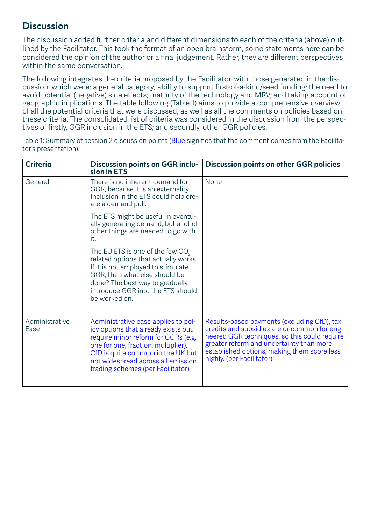#### **Discussion**

The discussion added further criteria and different dimensions to each of the criteria (above) outlined by the Facilitator. This took the format of an open brainstorm, so no statements here can be considered the opinion of the author or a final judgement. Rather, they are different perspectives within the same conversation.

The following integrates the criteria proposed by the Facilitator, with those generated in the discussion, which were: a general category; ability to support first-of-a-kind/seed funding; the need to avoid potential (negative) side effects; maturity of the technology and MRV; and taking account of geographic implications. The table following (Table 1) aims to provide a comprehensive overview of all the potential criteria that were discussed, as well as all the comments on policies based on these criteria. The consolidated list of criteria was considered in the discussion from the perspectives of firstly, GGR inclusion in the ETS; and secondly, other GGR policies.

| <b>Criteria</b>        | Discussion points on GGR inclu-<br>sion in ETS                                                                                                                                                                                                                           | <b>Discussion points on other GGR policies</b>                                                                                                                                                                                                                      |
|------------------------|--------------------------------------------------------------------------------------------------------------------------------------------------------------------------------------------------------------------------------------------------------------------------|---------------------------------------------------------------------------------------------------------------------------------------------------------------------------------------------------------------------------------------------------------------------|
| General                | There is no inherent demand for<br>GGR, because it is an externality.<br>Inclusion in the ETS could help cre-<br>ate a demand pull.                                                                                                                                      | None                                                                                                                                                                                                                                                                |
|                        | The ETS might be useful in eventu-<br>ally generating demand, but a lot of<br>other things are needed to go with<br>it.                                                                                                                                                  |                                                                                                                                                                                                                                                                     |
|                        | The EU ETS is one of the few $CO2$<br>related options that actually works.<br>If it is not employed to stimulate<br>GGR, then what else should be<br>done? The best way to gradually<br>introduce GGR into the ETS should<br>be worked on.                               |                                                                                                                                                                                                                                                                     |
| Administrative<br>Ease | Administrative ease applies to pol-<br>icy options that already exists but<br>require minor reform for GGRs (e.g.<br>one for one, fraction, multiplier).<br>CfD is quite common in the UK but<br>not widespread across all emission<br>trading schemes (per Facilitator) | Results-based payments (excluding CfD), tax<br>credits and subsidies are uncommon for engi-<br>neered GGR techniques, so this could require<br>greater reform and uncertainty than more<br>established options, making them score less<br>highly. (per Facilitator) |

Table 1: Summary of session 2 discussion points (Blue signifies that the comment comes from the Facilitator's presentation).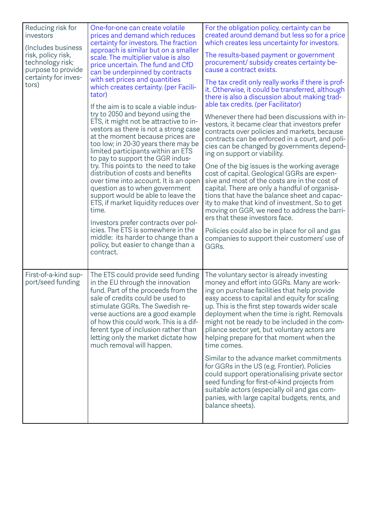| Reducing risk for<br>investors<br>(Includes business<br>risk, policy risk,<br>technology risk;<br>purpose to provide<br>certainty for inves-<br>tors) | One-for-one can create volatile<br>prices and demand which reduces<br>certainty for investors. The fraction<br>approach is similar but on a smaller<br>scale. The multiplier value is also<br>price uncertain. The fund and CfD<br>can be underpinned by contracts<br>with set prices and quantities<br>which creates certainty. (per Facili-<br>tator)<br>If the aim is to scale a viable indus-<br>try to 2050 and beyond using the<br>ETS, it might not be attractive to in-<br>vestors as there is not a strong case<br>at the moment because prices are<br>too low; in 20-30 years there may be<br>limited participants within an ETS<br>to pay to support the GGR indus-<br>try. This points to the need to take<br>distribution of costs and benefits<br>over time into account. It is an open<br>question as to when government<br>support would be able to leave the<br>ETS, if market liquidity reduces over<br>time.<br>Investors prefer contracts over pol-<br>icies. The ETS is somewhere in the<br>middle: its harder to change than a<br>policy, but easier to change than a<br>contract. | For the obligation policy, certainty can be<br>created around demand but less so for a price<br>which creates less uncertainty for investors.<br>The results-based payment or government<br>procurement/ subsidy creates certainty be-<br>cause a contract exists.<br>The tax credit only really works if there is prof-<br>it. Otherwise, it could be transferred, although<br>there is also a discussion about making trad-<br>able tax credits. (per Facilitator)<br>Whenever there had been discussions with in-<br>vestors, it became clear that investors prefer<br>contracts over policies and markets, because<br>contracts can be enforced in a court, and poli-<br>cies can be changed by governments depend-<br>ing on support or viability.<br>One of the big issues is the working average<br>cost of capital. Geological GGRs are expen-<br>sive and most of the costs are in the cost of<br>capital. There are only a handful of organisa-<br>tions that have the balance sheet and capac-<br>ity to make that kind of investment. So to get<br>moving on GGR, we need to address the barri-<br>ers that these investors face.<br>Policies could also be in place for oil and gas<br>companies to support their customers' use of<br>GGRs. |
|-------------------------------------------------------------------------------------------------------------------------------------------------------|----------------------------------------------------------------------------------------------------------------------------------------------------------------------------------------------------------------------------------------------------------------------------------------------------------------------------------------------------------------------------------------------------------------------------------------------------------------------------------------------------------------------------------------------------------------------------------------------------------------------------------------------------------------------------------------------------------------------------------------------------------------------------------------------------------------------------------------------------------------------------------------------------------------------------------------------------------------------------------------------------------------------------------------------------------------------------------------------------------|-----------------------------------------------------------------------------------------------------------------------------------------------------------------------------------------------------------------------------------------------------------------------------------------------------------------------------------------------------------------------------------------------------------------------------------------------------------------------------------------------------------------------------------------------------------------------------------------------------------------------------------------------------------------------------------------------------------------------------------------------------------------------------------------------------------------------------------------------------------------------------------------------------------------------------------------------------------------------------------------------------------------------------------------------------------------------------------------------------------------------------------------------------------------------------------------------------------------------------------------------------------|
| First-of-a-kind sup-<br>port/seed funding                                                                                                             | The ETS could provide seed funding<br>in the EU through the innovation<br>fund. Part of the proceeds from the<br>sale of credits could be used to<br>stimulate GGRs. The Swedish re-<br>verse auctions are a good example<br>of how this could work. This is a dif-<br>ferent type of inclusion rather than<br>letting only the market dictate how<br>much removal will happen.                                                                                                                                                                                                                                                                                                                                                                                                                                                                                                                                                                                                                                                                                                                          | The voluntary sector is already investing<br>money and effort into GGRs. Many are work-<br>ing on purchase facilities that help provide<br>easy access to capital and equity for scaling<br>up. This is the first step towards wider scale<br>deployment when the time is right. Removals<br>might not be ready to be included in the com-<br>pliance sector yet, but voluntary actors are<br>helping prepare for that moment when the<br>time comes.<br>Similar to the advance market commitments<br>for GGRs in the US (e.g. Frontier). Policies<br>could support operationalising private sector<br>seed funding for first-of-kind projects from<br>suitable actors (especially oil and gas com-<br>panies, with large capital budgets, rents, and<br>balance sheets).                                                                                                                                                                                                                                                                                                                                                                                                                                                                                 |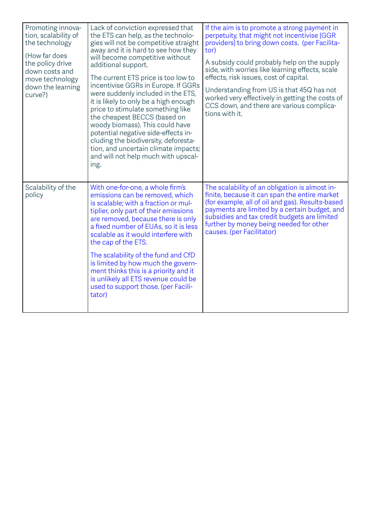| Promoting innova-<br>tion, scalability of<br>the technology<br>(How far does<br>the policy drive<br>down costs and<br>move technology<br>down the learning<br>curve?) | Lack of conviction expressed that<br>the ETS can help, as the technolo-<br>gies will not be competitive straight<br>away and it is hard to see how they<br>will become competitive without<br>additional support.<br>The current ETS price is too low to<br>incentivise GGRs in Europe. If GGRs<br>were suddenly included in the ETS,<br>it is likely to only be a high enough<br>price to stimulate something like<br>the cheapest BECCS (based on<br>woody biomass). This could have<br>potential negative side-effects in-<br>cluding the biodiversity, deforesta-<br>tion, and uncertain climate impacts;<br>and will not help much with upscal-<br>ing. | If the aim is to promote a strong payment in<br>perpetuity, that might not incentivise [GGR<br>providers] to bring down costs. (per Facilita-<br>tor)<br>A subsidy could probably help on the supply<br>side, with worries like learning effects, scale<br>effects, risk issues, cost of capital.<br>Understanding from US is that 45Q has not<br>worked very effectively in getting the costs of<br>CCS down, and there are various complica-<br>tions with it. |
|-----------------------------------------------------------------------------------------------------------------------------------------------------------------------|--------------------------------------------------------------------------------------------------------------------------------------------------------------------------------------------------------------------------------------------------------------------------------------------------------------------------------------------------------------------------------------------------------------------------------------------------------------------------------------------------------------------------------------------------------------------------------------------------------------------------------------------------------------|------------------------------------------------------------------------------------------------------------------------------------------------------------------------------------------------------------------------------------------------------------------------------------------------------------------------------------------------------------------------------------------------------------------------------------------------------------------|
| Scalability of the<br>policy                                                                                                                                          | With one-for-one, a whole firm's<br>emissions can be removed, which<br>is scalable; with a fraction or mul-<br>tiplier, only part of their emissions<br>are removed, because there is only<br>a fixed number of EUAs, so it is less<br>scalable as it would interfere with<br>the cap of the ETS.<br>The scalability of the fund and CfD<br>is limited by how much the govern-<br>ment thinks this is a priority and it                                                                                                                                                                                                                                      | The scalability of an obligation is almost in-<br>finite, because it can span the entire market<br>(for example, all of oil and gas). Results-based<br>payments are limited by a certain budget, and<br>subsidies and tax credit budgets are limited<br>further by money being needed for other<br>causes. (per Facilitator)                                                                                                                                     |
|                                                                                                                                                                       | is unlikely all ETS revenue could be<br>used to support those. (per Facili-<br>tator)                                                                                                                                                                                                                                                                                                                                                                                                                                                                                                                                                                        |                                                                                                                                                                                                                                                                                                                                                                                                                                                                  |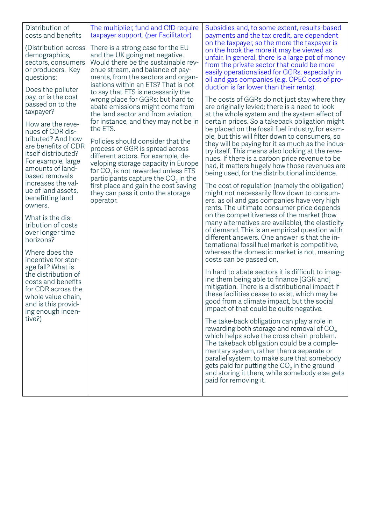| Distribution of<br>costs and benefits<br>(Distribution across<br>demographics,<br>sectors, consumers<br>or producers. Key<br>questions:<br>Does the polluter<br>pay, or is the cost<br>passed on to the<br>taxpayer?<br>How are the reve-<br>nues of CDR dis-<br>tributed? And how<br>are benefits of CDR<br>itself distributed?<br>For example, large<br>amounts of land-<br>based removals<br>increases the val-<br>ue of land assets,<br>benefitting land<br>owners. | The multiplier, fund and CfD require<br>taxpayer support. (per Facilitator)<br>There is a strong case for the EU<br>and the UK going net negative.<br>Would there be the sustainable rev-<br>enue stream, and balance of pay-<br>ments, from the sectors and organ-<br>isations within an ETS? That is not<br>to say that ETS is necessarily the<br>wrong place for GGRs; but hard to<br>abate emissions might come from<br>the land sector and from aviation,<br>for instance, and they may not be in<br>the ETS.<br>Policies should consider that the<br>process of GGR is spread across<br>different actors. For example, de-<br>veloping storage capacity in Europe<br>for $CO2$ is not rewarded unless ETS<br>participants capture the $CO2$ in the<br>first place and gain the cost saving<br>they can pass it onto the storage<br>operator. | Subsidies and, to some extent, results-based<br>payments and the tax credit, are dependent<br>on the taxpayer, so the more the taxpayer is<br>on the hook the more it may be viewed as<br>unfair. In general, there is a large pot of money<br>from the private sector that could be more<br>easily operationalised for GGRs, especially in<br>oil and gas companies (e.g. OPEC cost of pro-<br>duction is far lower than their rents).<br>The costs of GGRs do not just stay where they<br>are originally levied; there is a need to look<br>at the whole system and the system effect of<br>certain prices. So a takeback obligation might<br>be placed on the fossil fuel industry, for exam-<br>ple, but this will filter down to consumers, so<br>they will be paying for it as much as the indus-<br>try itself. This means also looking at the reve-<br>nues. If there is a carbon price revenue to be<br>had, it matters hugely how those revenues are<br>being used, for the distributional incidence.<br>The cost of regulation (namely the obligation)<br>might not necessarily flow down to consum-<br>ers, as oil and gas companies have very high<br>rents. The ultimate consumer price depends |
|-------------------------------------------------------------------------------------------------------------------------------------------------------------------------------------------------------------------------------------------------------------------------------------------------------------------------------------------------------------------------------------------------------------------------------------------------------------------------|----------------------------------------------------------------------------------------------------------------------------------------------------------------------------------------------------------------------------------------------------------------------------------------------------------------------------------------------------------------------------------------------------------------------------------------------------------------------------------------------------------------------------------------------------------------------------------------------------------------------------------------------------------------------------------------------------------------------------------------------------------------------------------------------------------------------------------------------------|---------------------------------------------------------------------------------------------------------------------------------------------------------------------------------------------------------------------------------------------------------------------------------------------------------------------------------------------------------------------------------------------------------------------------------------------------------------------------------------------------------------------------------------------------------------------------------------------------------------------------------------------------------------------------------------------------------------------------------------------------------------------------------------------------------------------------------------------------------------------------------------------------------------------------------------------------------------------------------------------------------------------------------------------------------------------------------------------------------------------------------------------------------------------------------------------------------------|
| tribution of costs<br>over longer time<br>horizons?<br>Where does the<br>incentive for stor-<br>age fall? What is<br>the distribution of<br>costs and benefits<br>for CDR across the<br>whole value chain,<br>and is this provid-<br>ing enough incen-                                                                                                                                                                                                                  |                                                                                                                                                                                                                                                                                                                                                                                                                                                                                                                                                                                                                                                                                                                                                                                                                                                    | many alternatives are available), the elasticity<br>of demand. This is an empirical question with<br>different answers. One answer is that the in-<br>ternational fossil fuel market is competitive,<br>whereas the domestic market is not, meaning<br>costs can be passed on.<br>In hard to abate sectors it is difficult to imag-<br>ine them being able to finance [GGR and]<br>mitigation. There is a distributional impact if<br>these facilities cease to exist, which may be<br>good from a climate impact, but the social<br>impact of that could be quite negative.                                                                                                                                                                                                                                                                                                                                                                                                                                                                                                                                                                                                                                  |
| tive?)                                                                                                                                                                                                                                                                                                                                                                                                                                                                  |                                                                                                                                                                                                                                                                                                                                                                                                                                                                                                                                                                                                                                                                                                                                                                                                                                                    | The take-back obligation can play a role in<br>rewarding both storage and removal of $CO2$ ,<br>which helps solve the cross chain problem.<br>The takeback obligation could be a comple-<br>mentary system, rather than a separate or<br>parallel system, to make sure that somebody<br>gets paid for putting the $CO2$ in the ground<br>and storing it there, while somebody else gets<br>paid for removing it.                                                                                                                                                                                                                                                                                                                                                                                                                                                                                                                                                                                                                                                                                                                                                                                              |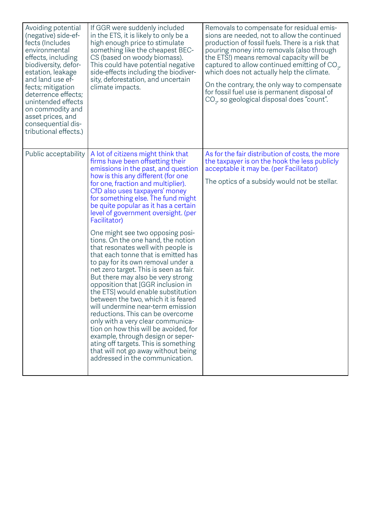| Avoiding potential<br>(negative) side-ef-<br>fects (Includes<br>environmental<br>effects, including<br>biodiversity, defor-<br>estation, leakage<br>and land use ef-<br>fects; mitigation<br>deterrence effects;<br>unintended effects<br>on commodity and<br>asset prices, and<br>consequential dis-<br>tributional effects.) | If GGR were suddenly included<br>in the ETS, it is likely to only be a<br>high enough price to stimulate<br>something like the cheapest BEC-<br>CS (based on woody biomass).<br>This could have potential negative<br>side-effects including the biodiver-<br>sity, deforestation, and uncertain<br>climate impacts.                                                                                                                                                                                                                                                                                                                                                                                                                                                                                                                                                                                                                                                                                                                                                         | Removals to compensate for residual emis-<br>sions are needed, not to allow the continued<br>production of fossil fuels. There is a risk that<br>pouring money into removals (also through<br>the ETS!) means removal capacity will be<br>captured to allow continued emitting of $CO2$ ,<br>which does not actually help the climate.<br>On the contrary, the only way to compensate<br>for fossil fuel use is permanent disposal of<br>$CO2$ , so geological disposal does "count". |
|--------------------------------------------------------------------------------------------------------------------------------------------------------------------------------------------------------------------------------------------------------------------------------------------------------------------------------|------------------------------------------------------------------------------------------------------------------------------------------------------------------------------------------------------------------------------------------------------------------------------------------------------------------------------------------------------------------------------------------------------------------------------------------------------------------------------------------------------------------------------------------------------------------------------------------------------------------------------------------------------------------------------------------------------------------------------------------------------------------------------------------------------------------------------------------------------------------------------------------------------------------------------------------------------------------------------------------------------------------------------------------------------------------------------|---------------------------------------------------------------------------------------------------------------------------------------------------------------------------------------------------------------------------------------------------------------------------------------------------------------------------------------------------------------------------------------------------------------------------------------------------------------------------------------|
| Public acceptability                                                                                                                                                                                                                                                                                                           | A lot of citizens might think that<br>firms have been offsetting their<br>emissions in the past, and question<br>how is this any different (for one<br>for one, fraction and multiplier).<br>CfD also uses taxpayers' money<br>for something else. The fund might<br>be quite popular as it has a certain<br>level of government oversight. (per<br>Facilitator)<br>One might see two opposing posi-<br>tions. On the one hand, the notion<br>that resonates well with people is<br>that each tonne that is emitted has<br>to pay for its own removal under a<br>net zero target. This is seen as fair.<br>But there may also be very strong<br>opposition that [GGR inclusion in<br>the ETS] would enable substitution<br>between the two, which it is feared<br>will undermine near-term emission<br>reductions. This can be overcome<br>only with a very clear communica-<br>tion on how this will be avoided, for<br>example, through design or seper-<br>ating off targets. This is something<br>that will not go away without being<br>addressed in the communication. | As for the fair distribution of costs, the more<br>the taxpayer is on the hook the less publicly<br>acceptable it may be. (per Facilitator)<br>The optics of a subsidy would not be stellar.                                                                                                                                                                                                                                                                                          |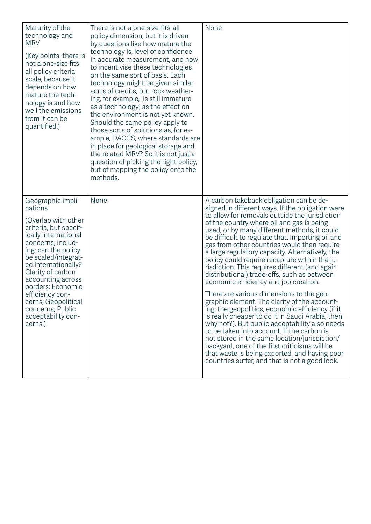| Maturity of the<br>technology and<br><b>MRV</b><br>(Key points: there is<br>not a one-size fits<br>all policy criteria<br>scale, because it<br>depends on how<br>mature the tech-<br>nology is and how<br>well the emissions<br>from it can be<br>quantified.)                                                                                               | There is not a one-size-fits-all<br>policy dimension, but it is driven<br>by questions like how mature the<br>technology is, level of confidence<br>in accurate measurement, and how<br>to incentivise these technologies<br>on the same sort of basis. Each<br>technology might be given similar<br>sorts of credits, but rock weather-<br>ing, for example, [is still immature<br>as a technology] as the effect on<br>the environment is not yet known.<br>Should the same policy apply to<br>those sorts of solutions as, for ex-<br>ample, DACCS, where standards are<br>in place for geological storage and<br>the related MRV? So it is not just a<br>question of picking the right policy,<br>but of mapping the policy onto the<br>methods. | None                                                                                                                                                                                                                                                                                                                                                                                                                                                                                                                                                                                                                                                                                                                                                                                                                                                                                                                                                                                                                                                                                                 |
|--------------------------------------------------------------------------------------------------------------------------------------------------------------------------------------------------------------------------------------------------------------------------------------------------------------------------------------------------------------|------------------------------------------------------------------------------------------------------------------------------------------------------------------------------------------------------------------------------------------------------------------------------------------------------------------------------------------------------------------------------------------------------------------------------------------------------------------------------------------------------------------------------------------------------------------------------------------------------------------------------------------------------------------------------------------------------------------------------------------------------|------------------------------------------------------------------------------------------------------------------------------------------------------------------------------------------------------------------------------------------------------------------------------------------------------------------------------------------------------------------------------------------------------------------------------------------------------------------------------------------------------------------------------------------------------------------------------------------------------------------------------------------------------------------------------------------------------------------------------------------------------------------------------------------------------------------------------------------------------------------------------------------------------------------------------------------------------------------------------------------------------------------------------------------------------------------------------------------------------|
| Geographic impli-<br>cations<br>(Overlap with other<br>criteria, but specif-<br>ically international<br>concerns, includ-<br>ing: can the policy<br>be scaled/integrat-<br>ed internationally?<br>Clarity of carbon<br>accounting across<br>borders; Economic<br>efficiency con-<br>cerns; Geopolitical<br>concerns; Public<br>acceptability con-<br>cerns.) | None                                                                                                                                                                                                                                                                                                                                                                                                                                                                                                                                                                                                                                                                                                                                                 | A carbon takeback obligation can be de-<br>signed in different ways. If the obligation were<br>to allow for removals outside the jurisdiction<br>of the country where oil and gas is being<br>used, or by many different methods, it could<br>be difficult to regulate that. Importing oil and<br>gas from other countries would then require<br>a large regulatory capacity. Alternatively, the<br>policy could require recapture within the ju-<br>risdiction. This requires different (and again<br>distributional) trade-offs, such as between<br>economic efficiency and job creation.<br>There are various dimensions to the geo-<br>graphic element. The clarity of the account-<br>ing, the geopolitics, economic efficiency (if it<br>is really cheaper to do it in Saudi Arabia, then<br>why not?). But public acceptability also needs<br>to be taken into account. If the carbon is<br>not stored in the same location/jurisdiction/<br>backyard, one of the first criticisms will be<br>that waste is being exported, and having poor<br>countries suffer, and that is not a good look. |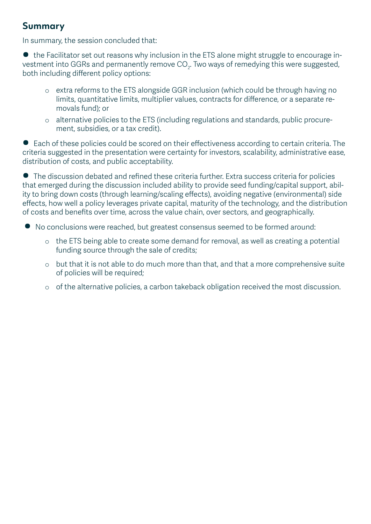#### **Summary**

In summary, the session concluded that:

• the Facilitator set out reasons why inclusion in the ETS alone might struggle to encourage investment into GGRs and permanently remove CO $_{\textrm{\tiny{2}}}$ . Two ways of remedying this were suggested, both including different policy options:

- o extra reforms to the ETS alongside GGR inclusion (which could be through having no limits, quantitative limits, multiplier values, contracts for difference, or a separate removals fund); or
- o alternative policies to the ETS (including regulations and standards, public procurement, subsidies, or a tax credit).

• Each of these policies could be scored on their effectiveness according to certain criteria. The criteria suggested in the presentation were certainty for investors, scalability, administrative ease, distribution of costs, and public acceptability.

• The discussion debated and refined these criteria further. Extra success criteria for policies that emerged during the discussion included ability to provide seed funding/capital support, ability to bring down costs (through learning/scaling effects), avoiding negative (environmental) side effects, how well a policy leverages private capital, maturity of the technology, and the distribution of costs and benefits over time, across the value chain, over sectors, and geographically.

- No conclusions were reached, but greatest consensus seemed to be formed around:
	- o the ETS being able to create some demand for removal, as well as creating a potential funding source through the sale of credits;
	- o but that it is not able to do much more than that, and that a more comprehensive suite of policies will be required;
	- o of the alternative policies, a carbon takeback obligation received the most discussion.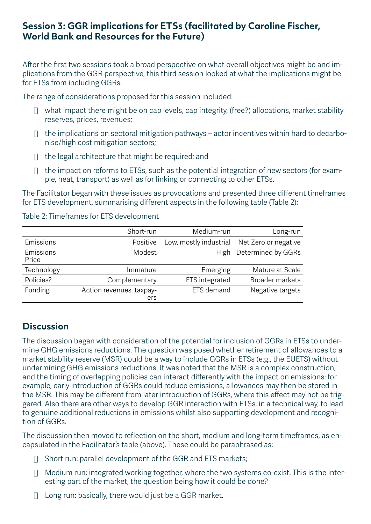#### **Session 3: GGR implications for ETSs (facilitated by Caroline Fischer, World Bank and Resources for the Future)**

After the first two sessions took a broad perspective on what overall objectives might be and implications from the GGR perspective, this third session looked at what the implications might be for ETSs from including GGRs.

The range of considerations proposed for this session included:

- $\Box$  what impact there might be on cap levels, cap integrity, (free?) allocations, market stability reserves, prices, revenues;
- $\Box$  the implications on sectoral mitigation pathways actor incentives within hard to decarbonise/high cost mitigation sectors;
- $\Box$  the legal architecture that might be required; and
- $\Box$  the impact on reforms to ETSs, such as the potential integration of new sectors (for example, heat, transport) as well as for linking or connecting to other ETSs.

The Facilitator began with these issues as provocations and presented three different timeframes for ETS development, summarising different aspects in the following table (Table 2):

#### Table 2: Timeframes for ETS development

|                    | Short-run                       | Medium-run             | Long-run               |
|--------------------|---------------------------------|------------------------|------------------------|
| Emissions          | Positive                        | Low, mostly industrial | Net Zero or negative   |
| Emissions<br>Price | Modest                          | <b>High</b>            | Determined by GGRs     |
| Technology         | Immature                        | Emerging               | Mature at Scale        |
| Policies?          | Complementary                   | ETS integrated         | <b>Broader markets</b> |
| Funding            | Action revenues, taxpay-<br>ers | ETS demand             | Negative targets       |

#### **Discussion**

The discussion began with consideration of the potential for inclusion of GGRs in ETSs to undermine GHG emissions reductions. The question was posed whether retirement of allowances to a market stability reserve (MSR) could be a way to include GGRs in ETSs (e.g., the EUETS) without undermining GHG emissions reductions. It was noted that the MSR is a complex construction, and the timing of overlapping policies can interact differently with the impact on emissions: for example, early introduction of GGRs could reduce emissions, allowances may then be stored in the MSR. This may be different from later introduction of GGRs, where this effect may not be triggered. Also there are other ways to develop GGR interaction with ETSs, in a technical way, to lead to genuine additional reductions in emissions whilst also supporting development and recognition of GGRs.

The discussion then moved to reflection on the short, medium and long-term timeframes, as encapsulated in the Facilitator's table (above). These could be paraphrased as:

- $\Box$  Short run: parallel development of the GGR and ETS markets;
- $\Box$  Medium run: integrated working together, where the two systems co-exist. This is the interesting part of the market, the question being how it could be done?
- $\Box$  Long run: basically, there would just be a GGR market.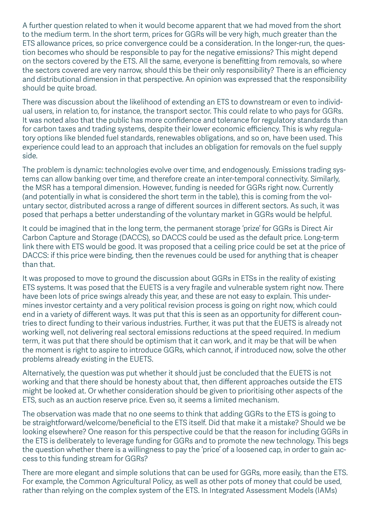A further question related to when it would become apparent that we had moved from the short to the medium term. In the short term, prices for GGRs will be very high, much greater than the ETS allowance prices, so price convergence could be a consideration. In the longer-run, the question becomes who should be responsible to pay for the negative emissions? This might depend on the sectors covered by the ETS. All the same, everyone is benefitting from removals, so where the sectors covered are very narrow, should this be their only responsibility? There is an efficiency and distributional dimension in that perspective. An opinion was expressed that the responsibility should be quite broad.

There was discussion about the likelihood of extending an ETS to downstream or even to individual users, in relation to, for instance, the transport sector. This could relate to who pays for GGRs. It was noted also that the public has more confidence and tolerance for regulatory standards than for carbon taxes and trading systems, despite their lower economic efficiency. This is why regulatory options like blended fuel standards, renewables obligations, and so on, have been used. This experience could lead to an approach that includes an obligation for removals on the fuel supply side.

The problem is dynamic: technologies evolve over time, and endogenously. Emissions trading systems can allow banking over time, and therefore create an inter-temporal connectivity. Similarly, the MSR has a temporal dimension. However, funding is needed for GGRs right now. Currently (and potentially in what is considered the short term in the table), this is coming from the voluntary sector, distributed across a range of different sources in different sectors. As such, it was posed that perhaps a better understanding of the voluntary market in GGRs would be helpful.

It could be imagined that in the long term, the permanent storage 'prize' for GGRs is Direct Air Carbon Capture and Storage (DACCS), so DACCS could be used as the default price. Long-term link there with ETS would be good. It was proposed that a ceiling price could be set at the price of DACCS: if this price were binding, then the revenues could be used for anything that is cheaper than that.

It was proposed to move to ground the discussion about GGRs in ETSs in the reality of existing ETS systems. It was posed that the EUETS is a very fragile and vulnerable system right now. There have been lots of price swings already this year, and these are not easy to explain. This undermines investor certainty and a very political revision process is going on right now, which could end in a variety of different ways. It was put that this is seen as an opportunity for different countries to direct funding to their various industries. Further, it was put that the EUETS is already not working well, not delivering real sectoral emissions reductions at the speed required. In medium term, it was put that there should be optimism that it can work, and it may be that will be when the moment is right to aspire to introduce GGRs, which cannot, if introduced now, solve the other problems already existing in the EUETS.

Alternatively, the question was put whether it should just be concluded that the EUETS is not working and that there should be honesty about that, then different approaches outside the ETS might be looked at. Or whether consideration should be given to prioritising other aspects of the ETS, such as an auction reserve price. Even so, it seems a limited mechanism.

The observation was made that no one seems to think that adding GGRs to the ETS is going to be straightforward/welcome/beneficial to the ETS itself. Did that make it a mistake? Should we be looking elsewhere? One reason for this perspective could be that the reason for including GGRs in the ETS is deliberately to leverage funding for GGRs and to promote the new technology. This begs the question whether there is a willingness to pay the 'price' of a loosened cap, in order to gain access to this funding stream for GGRs?

There are more elegant and simple solutions that can be used for GGRs, more easily, than the ETS. For example, the Common Agricultural Policy, as well as other pots of money that could be used, rather than relying on the complex system of the ETS. In Integrated Assessment Models (IAMs)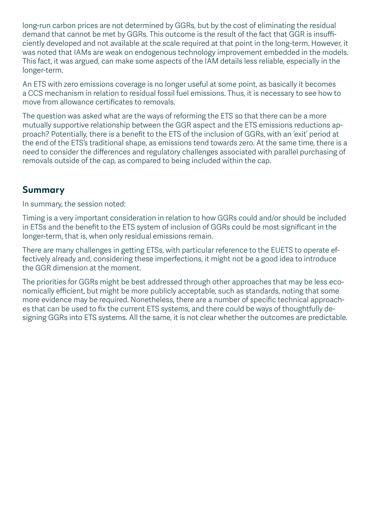long-run carbon prices are not determined by GGRs, but by the cost of eliminating the residual demand that cannot be met by GGRs. This outcome is the result of the fact that GGR is insufficiently developed and not available at the scale required at that point in the long-term. However, it was noted that IAMs are weak on endogenous technology improvement embedded in the models. This fact, it was argued, can make some aspects of the IAM details less reliable, especially in the longer-term.

An ETS with zero emissions coverage is no longer useful at some point, as basically it becomes a CCS mechanism in relation to residual fossil fuel emissions. Thus, it is necessary to see how to move from allowance certificates to removals.

The question was asked what are the ways of reforming the ETS so that there can be a more mutually supportive relationship between the GGR aspect and the ETS emissions reductions approach? Potentially, there is a benefit to the ETS of the inclusion of GGRs, with an 'exit' period at the end of the ETS's traditional shape, as emissions tend towards zero. At the same time, there is a need to consider the differences and regulatory challenges associated with parallel purchasing of removals outside of the cap, as compared to being included within the cap.

#### **Summary**

In summary, the session noted:

Timing is a very important consideration in relation to how GGRs could and/or should be included in ETSs and the benefit to the ETS system of inclusion of GGRs could be most significant in the longer-term, that is, when only residual emissions remain.

There are many challenges in getting ETSs, with particular reference to the EUETS to operate effectively already and, considering these imperfections, it might not be a good idea to introduce the GGR dimension at the moment.

The priorities for GGRs might be best addressed through other approaches that may be less economically efficient, but might be more publicly acceptable, such as standards, noting that some more evidence may be required. Nonetheless, there are a number of specific technical approaches that can be used to fix the current ETS systems, and there could be ways of thoughtfully designing GGRs into ETS systems. All the same, it is not clear whether the outcomes are predictable.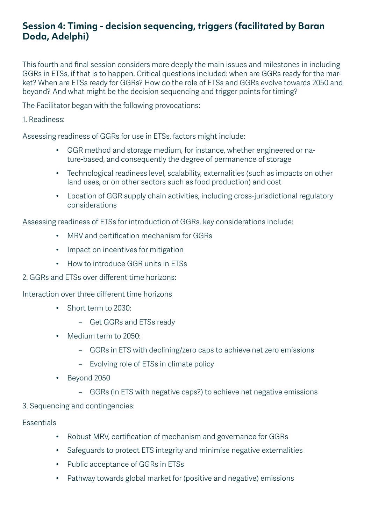#### **Session 4: Timing - decision sequencing, triggers (facilitated by Baran Doda, Adelphi)**

This fourth and final session considers more deeply the main issues and milestones in including GGRs in ETSs, if that is to happen. Critical questions included: when are GGRs ready for the market? When are ETSs ready for GGRs? How do the role of ETSs and GGRs evolve towards 2050 and beyond? And what might be the decision sequencing and trigger points for timing?

The Facilitator began with the following provocations:

1. Readiness:

Assessing readiness of GGRs for use in ETSs, factors might include:

- GGR method and storage medium, for instance, whether engineered or nature-based, and consequently the degree of permanence of storage
- Technological readiness level, scalability, externalities (such as impacts on other land uses, or on other sectors such as food production) and cost
- Location of GGR supply chain activities, including cross-jurisdictional regulatory considerations

Assessing readiness of ETSs for introduction of GGRs, key considerations include:

- MRV and certification mechanism for GGRs
- Impact on incentives for mitigation
- How to introduce GGR units in ETSs

2. GGRs and ETSs over different time horizons:

Interaction over three different time horizons

- Short term to 2030:
	- Get GGRs and ETSs ready
- Medium term to 2050:
	- GGRs in ETS with declining/zero caps to achieve net zero emissions
	- Evolving role of ETSs in climate policy
- Beyond 2050
	- GGRs (in ETS with negative caps?) to achieve net negative emissions
- 3. Sequencing and contingencies:

#### Essentials

- Robust MRV, certification of mechanism and governance for GGRs
- Safeguards to protect ETS integrity and minimise negative externalities
- Public acceptance of GGRs in ETSs
- Pathway towards global market for (positive and negative) emissions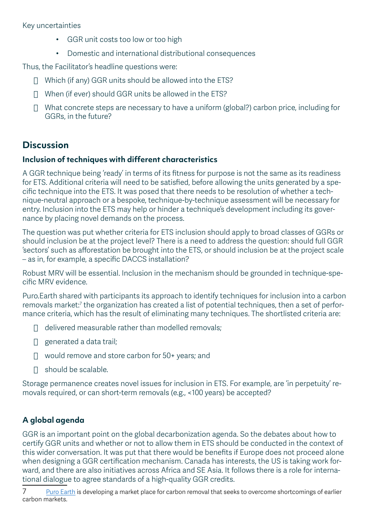#### Key uncertainties

- GGR unit costs too low or too high
- Domestic and international distributional consequences

Thus, the Facilitator's headline questions were:

- $\Box$  Which (if any) GGR units should be allowed into the ETS?
- $\Box$  When (if ever) should GGR units be allowed in the ETS?
- $\Box$  What concrete steps are necessary to have a uniform (global?) carbon price, including for GGRs, in the future?

#### **Discussion**

#### **Inclusion of techniques with different characteristics**

A GGR technique being 'ready' in terms of its fitness for purpose is not the same as its readiness for ETS. Additional criteria will need to be satisfied, before allowing the units generated by a specific technique into the ETS. It was posed that there needs to be resolution of whether a technique-neutral approach or a bespoke, technique-by-technique assessment will be necessary for entry. Inclusion into the ETS may help or hinder a technique's development including its governance by placing novel demands on the process.

The question was put whether criteria for ETS inclusion should apply to broad classes of GGRs or should inclusion be at the project level? There is a need to address the question: should full GGR 'sectors' such as afforestation be brought into the ETS, or should inclusion be at the project scale – as in, for example, a specific DACCS installation?

Robust MRV will be essential. Inclusion in the mechanism should be grounded in technique-specific MRV evidence.

Puro.Earth shared with participants its approach to identify techniques for inclusion into a carbon removals market: $7$  the organization has created a list of potential techniques, then a set of performance criteria, which has the result of eliminating many techniques. The shortlisted criteria are:

- $\Box$  delivered measurable rather than modelled removals;
- $\Box$  generated a data trail;
- $\Box$  would remove and store carbon for 50+ years; and
- $\Box$  should be scalable.

Storage permanence creates novel issues for inclusion in ETS. For example, are 'in perpetuity' removals required, or can short-term removals (e.g., <100 years) be accepted?

#### **A global agenda**

GGR is an important point on the global decarbonization agenda. So the debates about how to certify GGR units and whether or not to allow them in ETS should be conducted in the context of this wider conversation. It was put that there would be benefits if Europe does not proceed alone when designing a GGR certification mechanism. Canada has interests, the US is taking work forward, and there are also initiatives across Africa and SE Asia. It follows there is a role for international dialogue to agree standards of a high-quality GGR credits.

7 [Puro Earth](https://puro.earth/about-us/) is developing a market place for carbon removal that seeks to overcome shortcomings of earlier carbon markets.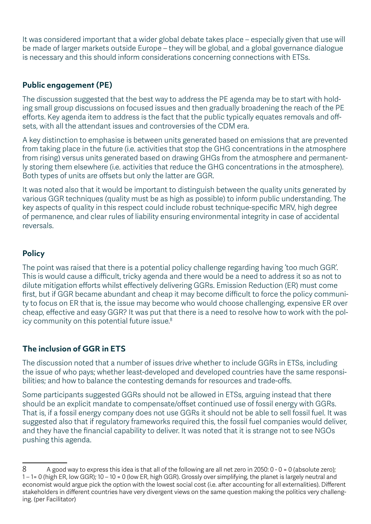It was considered important that a wider global debate takes place – especially given that use will be made of larger markets outside Europe – they will be global, and a global governance dialogue is necessary and this should inform considerations concerning connections with ETSs.

#### **Public engagement (PE)**

The discussion suggested that the best way to address the PE agenda may be to start with holding small group discussions on focused issues and then gradually broadening the reach of the PE efforts. Key agenda item to address is the fact that the public typically equates removals and offsets, with all the attendant issues and controversies of the CDM era.

A key distinction to emphasise is between units generated based on emissions that are prevented from taking place in the future (i.e. activities that stop the GHG concentrations in the atmosphere from rising) versus units generated based on drawing GHGs from the atmosphere and permanently storing them elsewhere (i.e. activities that reduce the GHG concentrations in the atmosphere). Both types of units are offsets but only the latter are GGR.

It was noted also that it would be important to distinguish between the quality units generated by various GGR techniques (quality must be as high as possible) to inform public understanding. The key aspects of quality in this respect could include robust technique-specific MRV, high degree of permanence, and clear rules of liability ensuring environmental integrity in case of accidental reversals.

#### **Policy**

The point was raised that there is a potential policy challenge regarding having 'too much GGR'. This is would cause a difficult, tricky agenda and there would be a need to address it so as not to dilute mitigation efforts whilst effectively delivering GGRs. Emission Reduction (ER) must come first, but if GGR became abundant and cheap it may become difficult to force the policy community to focus on ER that is, the issue may become who would choose challenging, expensive ER over cheap, effective and easy GGR? It was put that there is a need to resolve how to work with the policy community on this potential future issue.<sup>8</sup>

#### **The inclusion of GGR in ETS**

The discussion noted that a number of issues drive whether to include GGRs in ETSs, including the issue of who pays; whether least-developed and developed countries have the same responsibilities; and how to balance the contesting demands for resources and trade-offs.

Some participants suggested GGRs should not be allowed in ETSs, arguing instead that there should be an explicit mandate to compensate/offset continued use of fossil energy with GGRs. That is, if a fossil energy company does not use GGRs it should not be able to sell fossil fuel. It was suggested also that if regulatory frameworks required this, the fossil fuel companies would deliver, and they have the financial capability to deliver. It was noted that it is strange not to see NGOs pushing this agenda.

<sup>8</sup> A good way to express this idea is that all of the following are all net zero in 2050: 0 - 0 = 0 (absolute zero); 1 – 1= 0 (high ER, low GGR); 10 – 10 = 0 (low ER, high GGR). Grossly over simplifying, the planet is largely neutral and economist would argue pick the option with the lowest social cost (i.e. after accounting for all externalities). Different stakeholders in different countries have very divergent views on the same question making the politics very challenging. (per Facilitator)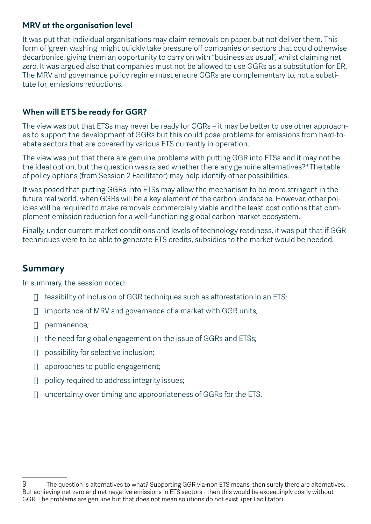#### **MRV at the organisation level**

It was put that individual organisations may claim removals on paper, but not deliver them. This form of 'green washing' might quickly take pressure off companies or sectors that could otherwise decarbonise, giving them an opportunity to carry on with "business as usual", whilst claiming net zero. It was argued also that companies must not be allowed to use GGRs as a substitution for ER. The MRV and governance policy regime must ensure GGRs are complementary to, not a substitute for, emissions reductions.

#### **When will ETS be ready for GGR?**

The view was put that ETSs may never be ready for GGRs – it may be better to use other approaches to support the development of GGRs but this could pose problems for emissions from hard-toabate sectors that are covered by various ETS currently in operation.

The view was put that there are genuine problems with putting GGR into ETSs and it may not be the ideal option, but the question was raised whether there any genuine alternatives? $9$  The table of policy options (from Session 2 Facilitator) may help identify other possibilities.

It was posed that putting GGRs into ETSs may allow the mechanism to be more stringent in the future real world, when GGRs will be a key element of the carbon landscape. However, other policies will be required to make removals commercially viable and the least cost options that complement emission reduction for a well-functioning global carbon market ecosystem.

Finally, under current market conditions and levels of technology readiness, it was put that if GGR techniques were to be able to generate ETS credits, subsidies to the market would be needed.

#### **Summary**

In summary, the session noted:

- $\Box$  feasibility of inclusion of GGR techniques such as afforestation in an ETS;
- $\Box$  importance of MRV and governance of a market with GGR units;
- $\Box$  permanence;
- $\Box$  the need for global engagement on the issue of GGRs and ETSs:
- $\Box$  possibility for selective inclusion:
- $\Box$  approaches to public engagement;
- $\Box$  policy required to address integrity issues;
- $\Box$  uncertainty over timing and appropriateness of GGRs for the ETS.

<sup>9</sup> The question is alternatives to what? Supporting GGR via-non ETS means, then surely there are alternatives. But achieving net zero and net negative emissions in ETS sectors - then this would be exceedingly costly without GGR. The problems are genuine but that does not mean solutions do not exist. (per Facilitator)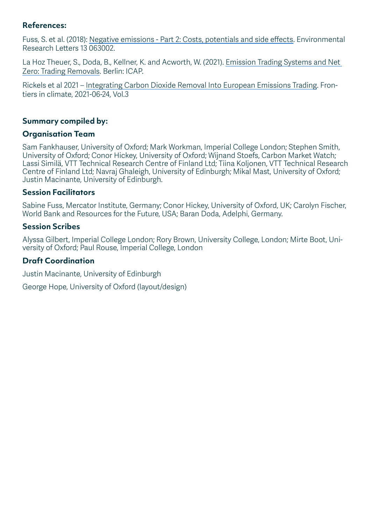#### **References:**

Fuss, S. et al. (2018): [Negative emissions - Part 2: Costs, potentials and side effects.](https://iopscience.iop.org/article/10.1088/1748-9326/aabf9f/meta) Environmental Research Letters 13 063002.

La Hoz Theuer, S., Doda, B., Kellner, K. and Acworth, W. (2021). [Emission Trading Systems and Net](https://icapcarbonaction.com/system/files/document/icap-netzeropaper_final-draft.pdf)  [Zero: Trading Removals.](https://icapcarbonaction.com/system/files/document/icap-netzeropaper_final-draft.pdf) Berlin: ICAP.

Rickels et al 2021 – [Integrating Carbon Dioxide Removal Into European Emissions Trading.](https://www.ifw-kiel.de/fileadmin/Dateiverwaltung/IfW-Publications/Wilfried_Rickels/Integrating_Carbon_Dioxide_Removal/Rickels_fclim-03-690023.pdf) Frontiers in climate, 2021-06-24, Vol.3

#### **Summary compiled by:**

#### **Organisation Team**

Sam Fankhauser, University of Oxford; Mark Workman, Imperial College London; Stephen Smith, University of Oxford; Conor Hickey, University of Oxford; Wijnand Stoefs, Carbon Market Watch; Lassi Similä, VTT Technical Research Centre of Finland Ltd; Tiina Koljonen, VTT Technical Research Centre of Finland Ltd; Navraj Ghaleigh, University of Edinburgh; Mikal Mast, University of Oxford; Justin Macinante, University of Edinburgh.

#### **Session Facilitators**

Sabine Fuss, Mercator Institute, Germany; Conor Hickey, University of Oxford, UK; Carolyn Fischer, World Bank and Resources for the Future, USA; Baran Doda, Adelphi, Germany.

#### **Session Scribes**

Alyssa Gilbert, Imperial College London; Rory Brown, University College, London; Mirte Boot, University of Oxford; Paul Rouse, Imperial College, London

#### **Draft Coordination**

Justin Macinante, University of Edinburgh

George Hope, University of Oxford (layout/design)